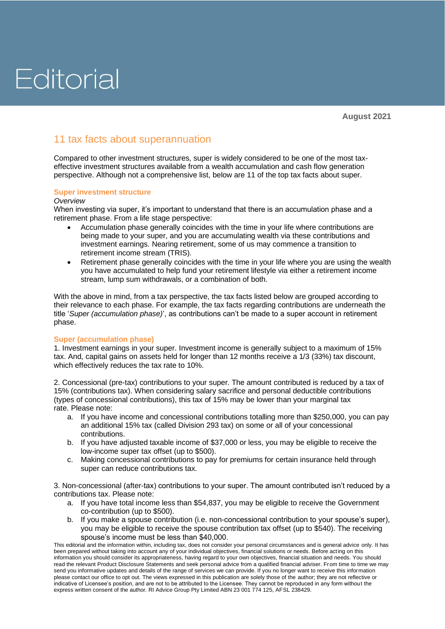### Editorial

### 11 tax facts about superannuation

Compared to other investment structures, super is widely considered to be one of the most taxeffective investment structures available from a wealth accumulation and cash flow generation perspective. Although not a comprehensive list, below are 11 of the top tax facts about super.

### **Super investment structure**

### *Overview*

When investing via super, it's important to understand that there is an accumulation phase and a retirement phase. From a life stage perspective:

- Accumulation phase generally coincides with the time in your life where contributions are being made to your super, and you are accumulating wealth via these contributions and investment earnings. Nearing retirement, some of us may commence a transition to retirement income stream (TRIS).
- Retirement phase generally coincides with the time in your life where you are using the wealth you have accumulated to help fund your retirement lifestyle via either a retirement income stream, lump sum withdrawals, or a combination of both.

With the above in mind, from a tax perspective, the tax facts listed below are grouped according to their relevance to each phase. For example, the tax facts regarding contributions are underneath the title '*Super (accumulation phase)*', as contributions can't be made to a super account in retirement phase.

### **Super (accumulation phase)**

1. Investment earnings in your super. Investment income is generally subject to a maximum of 15% tax. And, capital gains on assets held for longer than 12 months receive a 1/3 (33%) tax discount, which effectively reduces the tax rate to 10%.

2. Concessional (pre-tax) contributions to your super. The amount contributed is reduced by a tax of 15% (contributions tax). When considering salary sacrifice and personal deductible contributions (types of concessional contributions), this tax of 15% may be lower than your marginal tax rate. Please note:

- a. If you have income and concessional contributions totalling more than \$250,000, you can pay an additional 15% tax (called Division 293 tax) on some or all of your concessional contributions.
- b. If you have adjusted taxable income of \$37,000 or less, you may be eligible to receive the low-income super tax offset (up to \$500).
- c. Making concessional contributions to pay for premiums for certain insurance held through super can reduce contributions tax.

3. Non-concessional (after-tax) contributions to your super. The amount contributed isn't reduced by a contributions tax. Please note:

- a. If you have total income less than \$54,837, you may be eligible to receive the Government co-contribution (up to \$500).
- b. If you make a spouse contribution (i.e. non-concessional contribution to your spouse's super), you may be eligible to receive the spouse contribution tax offset (up to \$540). The receiving spouse's income must be less than \$40,000.

This editorial and the information within, including tax, does not consider your personal circumstances and is general advice only. It has been prepared without taking into account any of your individual objectives, financial solutions or needs. Before acting on this information you should consider its appropriateness, having regard to your own objectives, financial situation and needs. You should read the relevant Product Disclosure Statements and seek personal advice from a qualified financial adviser. From time to time we may send you informative updates and details of the range of services we can provide. If you no longer want to receive this information please contact our office to opt out. The views expressed in this publication are solely those of the author; they are not reflective or indicative of Licensee's position, and are not to be attributed to the Licensee. They cannot be reproduced in any form without the express written consent of the author. RI Advice Group Pty Limited ABN 23 001 774 125, AFSL 238429.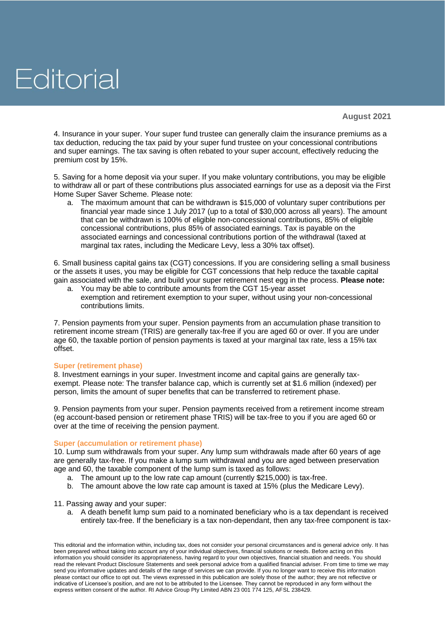## Editorial

4. Insurance in your super. Your super fund trustee can generally claim the insurance premiums as a tax deduction, reducing the tax paid by your super fund trustee on your concessional contributions and super earnings. The tax saving is often rebated to your super account, effectively reducing the premium cost by 15%.

5. Saving for a home deposit via your super. If you make voluntary contributions, you may be eligible to withdraw all or part of these contributions plus associated earnings for use as a deposit via the First Home Super Saver Scheme. Please note:

a. The maximum amount that can be withdrawn is \$15,000 of voluntary super contributions per financial year made since 1 July 2017 (up to a total of \$30,000 across all years). The amount that can be withdrawn is 100% of eligible non-concessional contributions, 85% of eligible concessional contributions, plus 85% of associated earnings. Tax is payable on the associated earnings and concessional contributions portion of the withdrawal (taxed at marginal tax rates, including the Medicare Levy, less a 30% tax offset).

6. Small business capital gains tax (CGT) concessions. If you are considering selling a small business or the assets it uses, you may be eligible for CGT concessions that help reduce the taxable capital gain associated with the sale, and build your super retirement nest egg in the process. **Please note:**

a. You may be able to contribute amounts from the CGT 15-year asset exemption and retirement exemption to your super, without using your non-concessional contributions limits.

7. Pension payments from your super. Pension payments from an accumulation phase transition to retirement income stream (TRIS) are generally tax-free if you are aged 60 or over. If you are under age 60, the taxable portion of pension payments is taxed at your marginal tax rate, less a 15% tax offset.

### **Super (retirement phase)**

8. Investment earnings in your super. Investment income and capital gains are generally taxexempt. Please note: The transfer balance cap, which is currently set at \$1.6 million (indexed) per person, limits the amount of super benefits that can be transferred to retirement phase.

9. Pension payments from your super. Pension payments received from a retirement income stream (eg account-based pension or retirement phase TRIS) will be tax-free to you if you are aged 60 or over at the time of receiving the pension payment.

### **Super (accumulation or retirement phase)**

10. Lump sum withdrawals from your super. Any lump sum withdrawals made after 60 years of age are generally tax-free. If you make a lump sum withdrawal and you are aged between preservation age and 60, the taxable component of the lump sum is taxed as follows:

- a. The amount up to the low rate cap amount (currently \$215,000) is tax-free.
- b. The amount above the low rate cap amount is taxed at 15% (plus the Medicare Levy).

11. Passing away and your super:

a. A death benefit lump sum paid to a nominated beneficiary who is a tax dependant is received entirely tax-free. If the beneficiary is a tax non-dependant, then any tax-free component is tax-

This editorial and the information within, including tax, does not consider your personal circumstances and is general advice only. It has been prepared without taking into account any of your individual objectives, financial solutions or needs. Before acting on this information you should consider its appropriateness, having regard to your own objectives, financial situation and needs. You should read the relevant Product Disclosure Statements and seek personal advice from a qualified financial adviser. From time to time we may send you informative updates and details of the range of services we can provide. If you no longer want to receive this information please contact our office to opt out. The views expressed in this publication are solely those of the author; they are not reflective or indicative of Licensee's position, and are not to be attributed to the Licensee. They cannot be reproduced in any form without the express written consent of the author. RI Advice Group Pty Limited ABN 23 001 774 125, AFSL 238429.